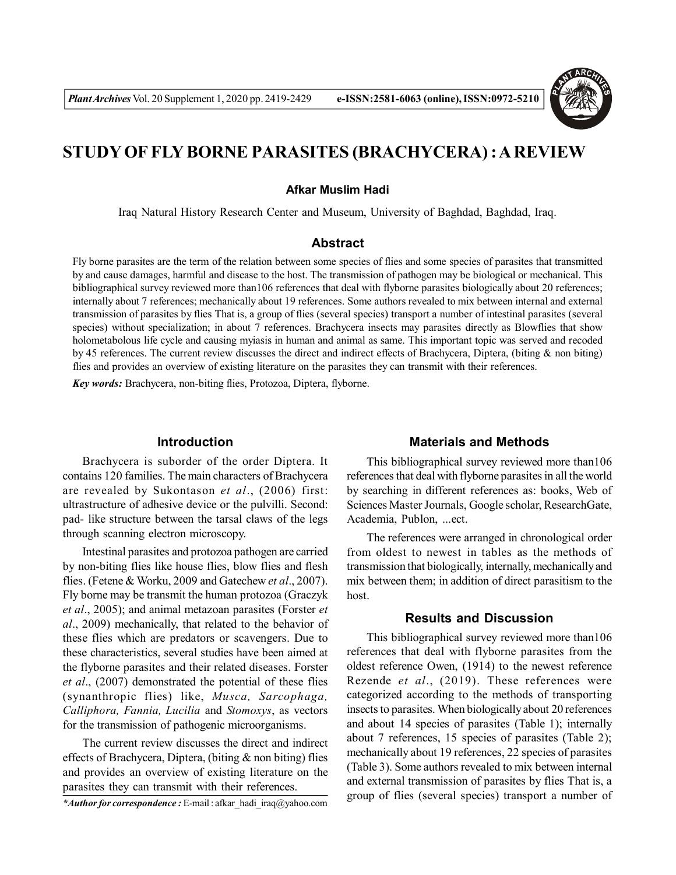

# **STUDY OF FLY BORNE PARASITES (BRACHYCERA) : A REVIEW**

#### **Afkar Muslim Hadi**

Iraq Natural History Research Center and Museum, University of Baghdad, Baghdad, Iraq.

# **Abstract**

Fly borne parasites are the term of the relation between some species of flies and some species of parasites that transmitted by and cause damages, harmful and disease to the host. The transmission of pathogen may be biological or mechanical. This bibliographical survey reviewed more than106 references that deal with flyborne parasites biologically about 20 references; internally about 7 references; mechanically about 19 references. Some authors revealed to mix between internal and external transmission of parasites by flies That is, a group of flies (several species) transport a number of intestinal parasites (several species) without specialization; in about 7 references. Brachycera insects may parasites directly as Blowflies that show holometabolous life cycle and causing myiasis in human and animal as same. This important topic was served and recoded by 45 references. The current review discusses the direct and indirect effects of Brachycera, Diptera, (biting & non biting) flies and provides an overview of existing literature on the parasites they can transmit with their references.

*Key words:* Brachycera, non-biting flies, Protozoa, Diptera, flyborne.

### **Introduction**

Brachycera is suborder of the order Diptera. It contains 120 families. The main characters of Brachycera are revealed by Sukontason *et al*., (2006) first: ultrastructure of adhesive device or the pulvilli. Second: pad- like structure between the tarsal claws of the legs through scanning electron microscopy.

Intestinal parasites and protozoa pathogen are carried by non-biting flies like house flies, blow flies and flesh flies. (Fetene & Worku, 2009 and Gatechew *et al*., 2007). Fly borne may be transmit the human protozoa (Graczyk *et al*., 2005); and animal metazoan parasites (Forster *et al*., 2009) mechanically, that related to the behavior of these flies which are predators or scavengers. Due to these characteristics, several studies have been aimed at the flyborne parasites and their related diseases. Forster *et al*., (2007) demonstrated the potential of these flies (synanthropic flies) like, *Musca, Sarcophaga, Calliphora, Fannia, Lucilia* and *Stomoxys*, as vectors for the transmission of pathogenic microorganisms.

The current review discusses the direct and indirect effects of Brachycera, Diptera, (biting  $\&$  non biting) flies and provides an overview of existing literature on the parasites they can transmit with their references.

# **Materials and Methods**

This bibliographical survey reviewed more than106 references that deal with flyborne parasites in all the world by searching in different references as: books, Web of Sciences Master Journals, Google scholar, ResearchGate, Academia, Publon, ...ect.

The references were arranged in chronological order from oldest to newest in tables as the methods of transmission that biologically, internally, mechanically and mix between them; in addition of direct parasitism to the host.

### **Results and Discussion**

This bibliographical survey reviewed more than106 references that deal with flyborne parasites from the oldest reference Owen, (1914) to the newest reference Rezende *et al*., (2019). These references were categorized according to the methods of transporting insects to parasites. When biologically about 20 references and about 14 species of parasites (Table 1); internally about 7 references, 15 species of parasites (Table 2); mechanically about 19 references, 22 species of parasites (Table 3). Some authors revealed to mix between internal and external transmission of parasites by flies That is, a group of flies (several species) transport a number of

*<sup>\*</sup>Author for correspondence :* E-mail : afkar\_hadi\_iraq@yahoo.com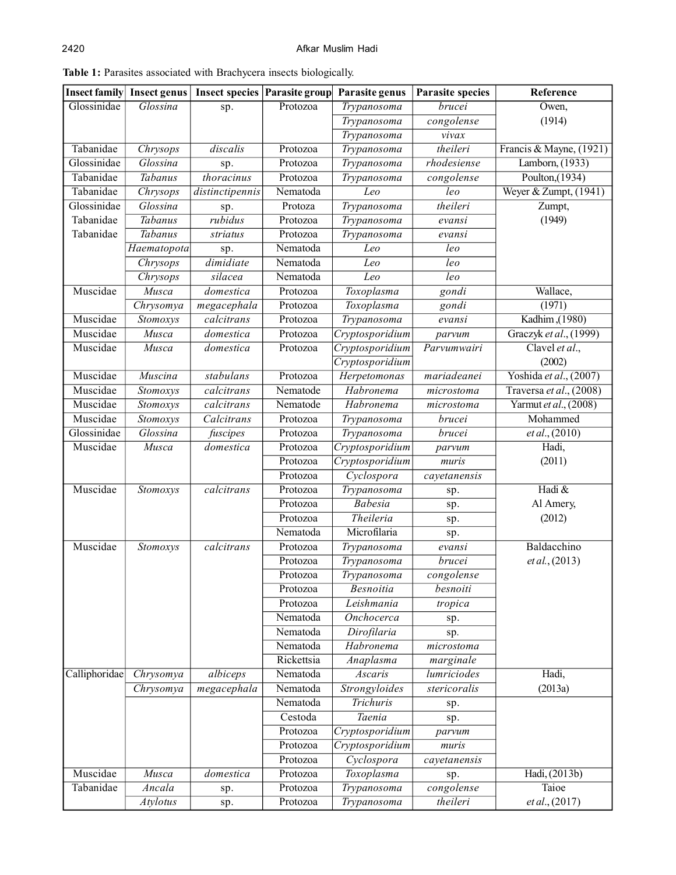|               | <b>Insect family</b> Insect genus | <b>Insect species Parasite group</b> |            | Parasite genus     | <b>Parasite species</b>  | Reference               |
|---------------|-----------------------------------|--------------------------------------|------------|--------------------|--------------------------|-------------------------|
| Glossinidae   | Glossina                          | sp.                                  | Protozoa   | Trypanosoma        | brucei                   | Owen,                   |
|               |                                   |                                      |            | Trypanosoma        | congolense               | (1914)                  |
|               |                                   |                                      |            | Trypanosoma        | vivax                    |                         |
| Tabanidae     | Chrysops                          | discalis                             | Protozoa   | Trypanosoma        | theileri                 | Francis & Mayne, (1921) |
| Glossinidae   | Glossina                          | sp.                                  | Protozoa   | <b>Trypanosoma</b> | rhodesiense              | Lamborn, (1933)         |
| Tabanidae     | Tabanus                           | thoracinus                           | Protozoa   | Trypanosoma        | congolense               | Poulton, $(1934)$       |
| Tabanidae     | Chrysops                          | distinctipennis                      | Nematoda   | Leo                | $l$ eo                   | Weyer & Zumpt, (1941)   |
| Glossinidae   | Glossina                          | sp.                                  | Protoza    | Trypanosoma        | theileri                 | Zumpt,                  |
| Tabanidae     | Tabanus                           | rubidus                              | Protozoa   | Trypanosoma        | evansi                   | (1949)                  |
| Tabanidae     | Tabanus                           | striatus                             | Protozoa   | Trypanosoma        | evansi                   |                         |
|               | Haematopota                       | sp.                                  | Nematoda   | Leo                | leo                      |                         |
|               | Chrysops                          | dimidiate                            | Nematoda   | Leo                | leo                      |                         |
|               | Chrysops                          | silacea                              | Nematoda   | Leo                | leo                      |                         |
| Muscidae      | <b>Musca</b>                      | domestica                            | Protozoa   | Toxoplasma         | gondi                    | Wallace,                |
|               | Chrysomya                         | megacephala                          | Protozoa   | Toxoplasma         | gondi                    | (1971)                  |
| Muscidae      | Stomoxys                          | calcitrans                           | Protozoa   | Trypanosoma        | evansi                   | Kadhim, (1980)          |
| Muscidae      | Musca                             | domestica                            | Protozoa   | Cryptosporidium    | parvum                   | Graczyk et al., (1999)  |
| Muscidae      | Musca                             | domestica                            | Protozoa   | Cryptosporidium    | Parvumwairi              | Clavel et al.,          |
|               |                                   |                                      |            | Cryptosporidium    |                          | (2002)                  |
| Muscidae      | <b>Muscina</b>                    | stabulans                            | Protozoa   | Herpetomonas       | mariadeanei              | Yoshida et al., (2007)  |
| Muscidae      | Stomoxys                          | calcitrans                           | Nematode   | Habronema          | microstoma               | Traversa et al., (2008) |
| Muscidae      | Stomoxys                          | calcitrans                           | Nematode   | Habronema          | $\overline{micro}$ stoma | Yarmut et al., (2008)   |
| Muscidae      | Stomoxys                          | Calcitrans                           | Protozoa   | Trypanosoma        | brucei                   | Mohammed                |
| Glossinidae   | Glossina                          | fuscipes                             | Protozoa   | Trypanosoma        | brucei                   | et al., (2010)          |
| Muscidae      | Musca                             | domestica                            | Protozoa   | Cryptosporidium    | parvum                   | Hadi,                   |
|               |                                   |                                      | Protozoa   | Cryptosporidium    | muris                    | (2011)                  |
|               |                                   |                                      | Protozoa   | Cyclospora         | cayetanensis             |                         |
| Muscidae      | Stomoxys                          | calcitrans                           | Protozoa   | Trypanosoma        | sp.                      | Hadi &                  |
|               |                                   |                                      | Protozoa   | <b>Babesia</b>     | sp.                      | Al Amery,               |
|               |                                   |                                      | Protozoa   | Theileria          | sp.                      | (2012)                  |
|               |                                   |                                      | Nematoda   | Microfilaria       | sp.                      |                         |
| Muscidae      | Stomoxys                          | calcitrans                           | Protozoa   | Trypanosoma        | evansi                   | Baldacchino             |
|               |                                   |                                      | Protozoa   | Trypanosoma        | brucei                   | et al., (2013)          |
|               |                                   |                                      | Protozoa   | Trypanosoma        | congolense               |                         |
|               |                                   |                                      | Protozoa   | Besnoitia          | besnoiti                 |                         |
|               |                                   |                                      | Protozoa   | Leishmania         | tropica                  |                         |
|               |                                   |                                      | Nematoda   | Onchocerca         | sp.                      |                         |
|               |                                   |                                      | Nematoda   | Dirofilaria        | sp.                      |                         |
|               |                                   |                                      | Nematoda   | Habronema          | microstoma               |                         |
|               |                                   |                                      | Rickettsia | Anaplasma          | marginale                |                         |
| Calliphoridae | Chrysomya                         | albiceps                             | Nematoda   | Ascaris            | lumriciodes              | Hadi,                   |
|               | Chrysomya                         | megacephala                          | Nematoda   | Strongyloides      | stericoralis             | (2013a)                 |
|               |                                   |                                      | Nematoda   | Trichuris          | sp.                      |                         |
|               |                                   |                                      | Cestoda    | Taenia             | sp.                      |                         |
|               |                                   |                                      | Protozoa   | Cryptosporidium    | parvum                   |                         |
|               |                                   |                                      | Protozoa   | Cryptosporidium    | muris                    |                         |
|               |                                   |                                      | Protozoa   | Cyclospora         | cayetanensis             |                         |
| Muscidae      | Musca                             | domestica                            | Protozoa   | Toxoplasma         | sp.                      | Hadi, (2013b)           |
| Tabanidae     | Ancala                            | sp.                                  | Protozoa   | Trypanosoma        | congolense               | Taioe                   |
|               | <b>Atylotus</b>                   | sp.                                  | Protozoa   | Trypanosoma        | theileri                 | et al., (2017)          |

**Table 1:** Parasites associated with Brachycera insects biologically.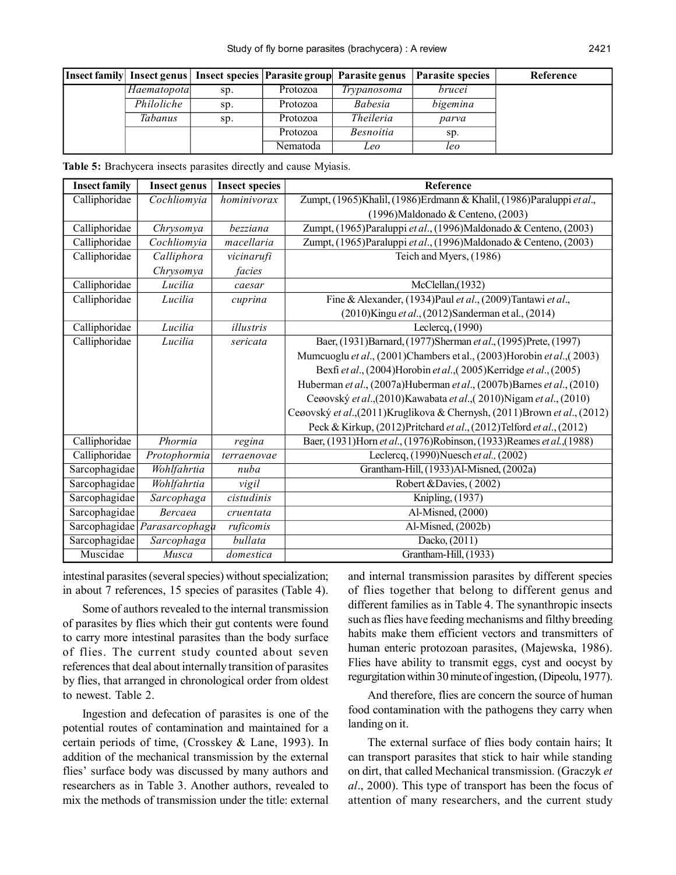|                |     |          | Insect family Insect genus   Insect species   Parasite group   Parasite genus | <b>Parasite species</b> | Reference |
|----------------|-----|----------|-------------------------------------------------------------------------------|-------------------------|-----------|
| Haematopota    | sp. | Protozoa | Trypanosoma                                                                   | brucei                  |           |
| Philoliche     | Sp. | Protozoa | <i>Babesia</i>                                                                | bigemina                |           |
| <b>Tabanus</b> | Sp. | Protozoa | <i>Theileria</i>                                                              | parva                   |           |
|                |     | Protozoa | <i>Besnoitia</i>                                                              | sp.                     |           |
|                |     | Nematoda | Leo                                                                           | leo                     |           |

**Table 5:** Brachycera insects parasites directly and cause Myiasis.

| <b>Insect family</b> | <b>Insect genus</b> | <b>Insect species</b> | Reference                                                                  |
|----------------------|---------------------|-----------------------|----------------------------------------------------------------------------|
| Calliphoridae        | Cochliomyia         | hominivorax           | Zumpt, (1965) Khalil, (1986) Erdmann & Khalil, (1986) Paraluppi et al.,    |
|                      |                     |                       | (1996) Maldonado & Centeno, (2003)                                         |
| Calliphoridae        | Chrysomya           | hezziana              | Zumpt, (1965)Paraluppi et al., (1996)Maldonado & Centeno, (2003)           |
| Calliphoridae        | Cochliomyia         | macellaria            | Zumpt, (1965)Paraluppi et al., (1996)Maldonado & Centeno, (2003)           |
| Calliphoridae        | Calliphora          | vicinarufi            | Teich and Myers, (1986)                                                    |
|                      | Chrysomya           | facies                |                                                                            |
| Calliphoridae        | Lucilia             | caesar                | McClellan, (1932)                                                          |
| Calliphoridae        | Lucilia             | cuprina               | Fine & Alexander, (1934) Paul et al., (2009) Tantawi et al.,               |
|                      |                     |                       | (2010) Kingu et al., (2012) Sanderman et al., (2014)                       |
| Calliphoridae        | Lucilia             | illustris             | Leclercq, $(1990)$                                                         |
| Calliphoridae        | Lucilia             | sericata              | Baer, (1931) Barnard, (1977) Sherman et al., (1995) Prete, (1997)          |
|                      |                     |                       | Mumcuoglu et al., (2001)Chambers et al., (2003)Horobin et al., (2003)      |
|                      |                     |                       | Bexfi et al., (2004)Horobin et al., (2005)Kerridge et al., (2005)          |
|                      |                     |                       | Huberman et al., (2007a)Huberman et al., (2007b)Barnes et al., (2010)      |
|                      |                     |                       | Ceøovský et al.,(2010)Kawabata et al.,(2010)Nigam et al., (2010)           |
|                      |                     |                       | Ceøovský et al., (2011) Kruglikova & Chernysh, (2011) Brown et al., (2012) |
|                      |                     |                       | Peck & Kirkup, (2012)Pritchard et al., (2012)Telford et al., (2012)        |
| Calliphoridae        | Phormia             | regina                | Baer, (1931)Horn et al., (1976)Robinson, (1933)Reames et al., (1988)       |
| Calliphoridae        | Protophormia        | terraenovae           | Leclercq, $(1990)$ Nuesch et al., $(2002)$                                 |
| Sarcophagidae        | Wohlfahrtia         | nuba                  | Grantham-Hill, (1933)Al-Misned, (2002a)                                    |
| Sarcophagidae        | Wohlfahrtia         | vigil                 | Robert & Davies, (2002)                                                    |
| Sarcophagidae        | Sarcophaga          | cistudinis            | Knipling, (1937)                                                           |
| Sarcophagidae        | <b>Bercaea</b>      | cruentata             | Al-Misned, (2000)                                                          |
| Sarcophagidae        | Parasarcophaga      | ruficomis             | Al-Misned, (2002b)                                                         |
| Sarcophagidae        | Sarcophaga          | bullata               | Dacko, $(2011)$                                                            |
| Muscidae             | Musca               | domestica             | Grantham-Hill, (1933)                                                      |

intestinal parasites (several species) without specialization; in about 7 references, 15 species of parasites (Table 4).

Some of authors revealed to the internal transmission of parasites by flies which their gut contents were found to carry more intestinal parasites than the body surface of flies. The current study counted about seven references that deal about internally transition of parasites by flies, that arranged in chronological order from oldest to newest. Table 2.

Ingestion and defecation of parasites is one of the potential routes of contamination and maintained for a certain periods of time, (Crosskey & Lane, 1993). In addition of the mechanical transmission by the external flies' surface body was discussed by many authors and researchers as in Table 3. Another authors, revealed to mix the methods of transmission under the title: external

and internal transmission parasites by different species of flies together that belong to different genus and different families as in Table 4. The synanthropic insects such as flies have feeding mechanisms and filthy breeding habits make them efficient vectors and transmitters of human enteric protozoan parasites, (Majewska, 1986). Flies have ability to transmit eggs, cyst and oocyst by regurgitation within 30 minute of ingestion, (Dipeolu, 1977).

And therefore, flies are concern the source of human food contamination with the pathogens they carry when landing on it.

The external surface of flies body contain hairs; It can transport parasites that stick to hair while standing on dirt, that called Mechanical transmission. (Graczyk *et al*., 2000). This type of transport has been the focus of attention of many researchers, and the current study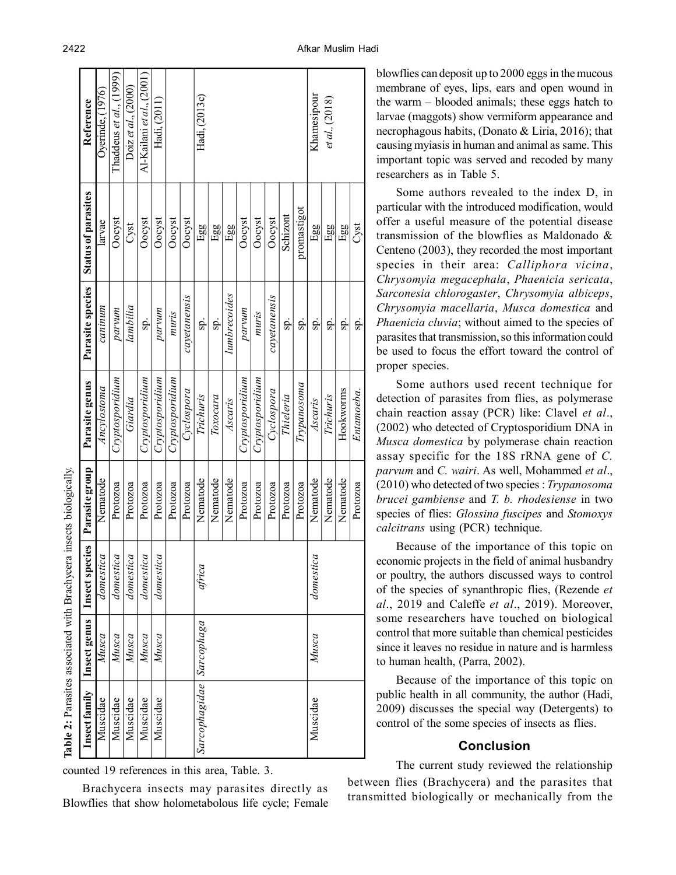| Thaddeus et $al$ , $(1999)$<br>Al-Kailani et al., (2001)<br>Doiz et al., $(2000)$<br>Oyerinde, (1976)<br>Hadi, (2013c)<br>Khamesipour<br>et al., (2018)<br>Reference<br>Hadi, (2011) | <b>Status of parasites</b><br>promastigot<br>Schizont<br>Oocyst<br>Oocyst<br>Oocyst<br>Oocyst<br>Oocyst<br>Oocyst<br>Oocyst<br>Oocyst<br>larvae<br>Cyst<br>Egg<br>Egg<br>Egg<br>$E_{gg}$<br>Egg | Parasite species<br>lumbrecoides<br>cayetanensis<br>cayetanensis<br>caninum<br>lambilia<br>parvum<br>parvum<br>parvum<br>muris<br>muris<br>sp.<br>sp.<br>sp.<br>sp.<br>sp.<br>sp.<br>sp. | Cryptosporidium<br>Cryptosporidium<br>Cryptosporidium<br>Cryptosporidium<br>Cryptosporidium<br>Cryptosporidium<br>Parasite genus<br>$\emph{Typana}$ soma<br>Ancylostoma<br>Cyclospora<br>Cyclospora<br>Trichuris<br>Thieleria<br>Trichuris<br>Toxocara<br>Giardia<br>Ascaris<br>Ascaris | Parasite group<br>Nematode<br>Nematode<br>Nematode<br>Nematode<br>Nematode<br>Nematode<br>Protozoa<br>Protozoa<br>Protozoa<br>Protozoa<br>Protozoa<br>Protozoa<br>Protozoa<br>Protozoa<br>Protozoa<br>Protozoa<br>Protozoa | Insect species<br>domestica<br>domestica<br>domestica<br>domestica<br>domestica<br>domestica<br>africa | Insect genus<br>Sarcophagidae   Sarcophaga<br>Musca<br>Musca<br>Musca<br>Musca<br>Musca<br>Musca |
|--------------------------------------------------------------------------------------------------------------------------------------------------------------------------------------|-------------------------------------------------------------------------------------------------------------------------------------------------------------------------------------------------|------------------------------------------------------------------------------------------------------------------------------------------------------------------------------------------|-----------------------------------------------------------------------------------------------------------------------------------------------------------------------------------------------------------------------------------------------------------------------------------------|----------------------------------------------------------------------------------------------------------------------------------------------------------------------------------------------------------------------------|--------------------------------------------------------------------------------------------------------|--------------------------------------------------------------------------------------------------|
|                                                                                                                                                                                      | Cyst<br>Egg                                                                                                                                                                                     | sp.                                                                                                                                                                                      | Hookworms<br>Entamoeba.                                                                                                                                                                                                                                                                 | Nematode<br>Protozoa                                                                                                                                                                                                       |                                                                                                        |                                                                                                  |
|                                                                                                                                                                                      |                                                                                                                                                                                                 |                                                                                                                                                                                          |                                                                                                                                                                                                                                                                                         |                                                                                                                                                                                                                            |                                                                                                        |                                                                                                  |
|                                                                                                                                                                                      |                                                                                                                                                                                                 |                                                                                                                                                                                          |                                                                                                                                                                                                                                                                                         |                                                                                                                                                                                                                            |                                                                                                        |                                                                                                  |
|                                                                                                                                                                                      |                                                                                                                                                                                                 |                                                                                                                                                                                          |                                                                                                                                                                                                                                                                                         |                                                                                                                                                                                                                            |                                                                                                        |                                                                                                  |
|                                                                                                                                                                                      |                                                                                                                                                                                                 |                                                                                                                                                                                          |                                                                                                                                                                                                                                                                                         |                                                                                                                                                                                                                            |                                                                                                        |                                                                                                  |
|                                                                                                                                                                                      |                                                                                                                                                                                                 |                                                                                                                                                                                          |                                                                                                                                                                                                                                                                                         |                                                                                                                                                                                                                            |                                                                                                        |                                                                                                  |
|                                                                                                                                                                                      |                                                                                                                                                                                                 |                                                                                                                                                                                          |                                                                                                                                                                                                                                                                                         |                                                                                                                                                                                                                            |                                                                                                        |                                                                                                  |
|                                                                                                                                                                                      |                                                                                                                                                                                                 |                                                                                                                                                                                          |                                                                                                                                                                                                                                                                                         |                                                                                                                                                                                                                            |                                                                                                        |                                                                                                  |
|                                                                                                                                                                                      |                                                                                                                                                                                                 |                                                                                                                                                                                          |                                                                                                                                                                                                                                                                                         |                                                                                                                                                                                                                            |                                                                                                        |                                                                                                  |
|                                                                                                                                                                                      |                                                                                                                                                                                                 |                                                                                                                                                                                          |                                                                                                                                                                                                                                                                                         |                                                                                                                                                                                                                            |                                                                                                        |                                                                                                  |
|                                                                                                                                                                                      |                                                                                                                                                                                                 |                                                                                                                                                                                          |                                                                                                                                                                                                                                                                                         |                                                                                                                                                                                                                            |                                                                                                        |                                                                                                  |
|                                                                                                                                                                                      |                                                                                                                                                                                                 |                                                                                                                                                                                          |                                                                                                                                                                                                                                                                                         |                                                                                                                                                                                                                            |                                                                                                        |                                                                                                  |
|                                                                                                                                                                                      |                                                                                                                                                                                                 |                                                                                                                                                                                          |                                                                                                                                                                                                                                                                                         |                                                                                                                                                                                                                            |                                                                                                        |                                                                                                  |
|                                                                                                                                                                                      |                                                                                                                                                                                                 |                                                                                                                                                                                          |                                                                                                                                                                                                                                                                                         |                                                                                                                                                                                                                            |                                                                                                        |                                                                                                  |
|                                                                                                                                                                                      |                                                                                                                                                                                                 |                                                                                                                                                                                          |                                                                                                                                                                                                                                                                                         |                                                                                                                                                                                                                            |                                                                                                        |                                                                                                  |
|                                                                                                                                                                                      |                                                                                                                                                                                                 |                                                                                                                                                                                          |                                                                                                                                                                                                                                                                                         |                                                                                                                                                                                                                            |                                                                                                        |                                                                                                  |
|                                                                                                                                                                                      |                                                                                                                                                                                                 |                                                                                                                                                                                          |                                                                                                                                                                                                                                                                                         |                                                                                                                                                                                                                            |                                                                                                        |                                                                                                  |
|                                                                                                                                                                                      |                                                                                                                                                                                                 |                                                                                                                                                                                          |                                                                                                                                                                                                                                                                                         |                                                                                                                                                                                                                            |                                                                                                        |                                                                                                  |
|                                                                                                                                                                                      |                                                                                                                                                                                                 |                                                                                                                                                                                          |                                                                                                                                                                                                                                                                                         |                                                                                                                                                                                                                            |                                                                                                        |                                                                                                  |

counted 19 references in this area, Table. 3.

Brachycera insects may parasites directly as Blowflies that show holometabolous life cycle; Female blowflies can deposit up to 2000 eggs in the mucous membrane of eyes, lips, ears and open wound in the warm – blooded animals; these eggs hatch to larvae (maggots) show vermiform appearance and necrophagous habits, (Donato & Liria, 2016); that causing myiasis in human and animal as same. This important topic was served and recoded by many researchers as in Table 5.

Some authors revealed to the index D, in particular with the introduced modification, would offer a useful measure of the potential disease transmission of the blowflies as Maldonado & Centeno (2003), they recorded the most important species in their area: *Calliphora vicina*, *Chrysomyia megacephala*, *Phaenicia sericata*, *Sarconesia chlorogaster*, *Chrysomyia albiceps*, *Chrysomyia macellaria*, *Musca domestica* and *Phaenicia cluvia*; without aimed to the species of parasites that transmission, so this information could be used to focus the effort toward the control of proper species.

Some authors used recent technique for detection of parasites from flies, as polymerase chain reaction assay (PCR) like: Clavel *et al*., (2002) who detected of Cryptosporidium DNA in *Musca domestica* by polymerase chain reaction assay specific for the 18S rRNA gene of *C. parvum* and *C. wairi*. As well, Mohammed *et al*., (2010) who detected of two species : *Trypanosoma brucei gambiense* and *T. b. rhodesiense* in two species of flies: *Glossina fuscipes* and *Stomoxys calcitrans* using (PCR) technique.

Because of the importance of this topic on economic projects in the field of animal husbandry or poultry, the authors discussed ways to control of the species of synanthropic flies, (Rezende *et al*., 2019 and Caleffe *et al*., 2019). Moreover, some researchers have touched on biological control that more suitable than chemical pesticides since it leaves no residue in nature and is harmless to human health, (Parra, 2002).

Because of the importance of this topic on public health in all community, the author (Hadi, 2009) discusses the special way (Detergents) to control of the some species of insects as flies.

# **Conclusion**

The current study reviewed the relationship between flies (Brachycera) and the parasites that transmitted biologically or mechanically from the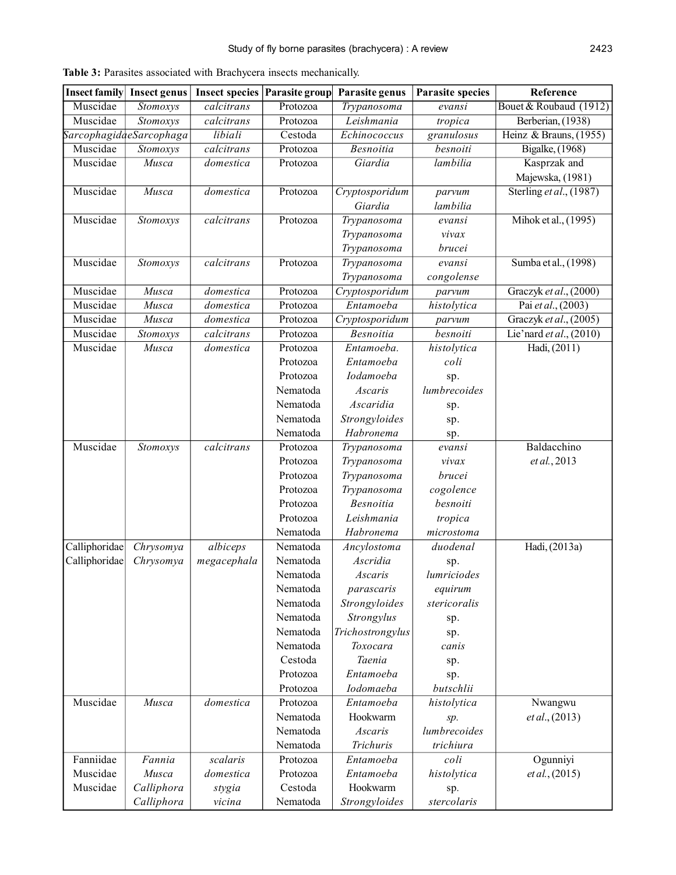| <b>Insect family</b> | <b>Insect genus</b>     | <b>Insect species</b> | Parasite group | Parasite genus   | <b>Parasite species</b> | Reference                 |
|----------------------|-------------------------|-----------------------|----------------|------------------|-------------------------|---------------------------|
| Muscidae             | Stomoxys                | calcitrans            | Protozoa       | Trypanosoma      | evansi                  | Bouet & Roubaud (1912)    |
| Muscidae             | Stomoxys                | calcitrans            | Protozoa       | Leishmania       | tropica                 | Berberian, (1938)         |
|                      | SarcophagidaeSarcophaga | libiali               | Cestoda        | Echinococcus     | granulosus              | Heinz & Brauns, (1955)    |
| Muscidae             | Stomoxys                | calcitrans            | Protozoa       | <b>Besnoitia</b> | besnoiti                | <b>Bigalke</b> , (1968)   |
| Muscidae             | Musca                   | domestica             | Protozoa       | Giardia          | lambilia                | Kasprzak and              |
|                      |                         |                       |                |                  |                         | Majewska, (1981)          |
| Muscidae             | Musca                   | domestica             | Protozoa       | Cryptosporidum   | parvum                  | Sterling et al., $(1987)$ |
|                      |                         |                       |                | Giardia          | lambilia                |                           |
| Muscidae             | Stomoxys                | calcitrans            | Protozoa       | Trypanosoma      | evansi                  | Mihok et al., (1995)      |
|                      |                         |                       |                | Trypanosoma      | vivax                   |                           |
|                      |                         |                       |                | Trypanosoma      | brucei                  |                           |
| Muscidae             | Stomoxys                | calcitrans            | Protozoa       | Trypanosoma      | evansi                  | Sumba et al., (1998)      |
|                      |                         |                       |                | Trypanosoma      | congolense              |                           |
| Muscidae             | Musca                   | domestica             | Protozoa       | Cryptosporidum   | parvum                  | Graczyk et al., (2000)    |
| Muscidae             | Musca                   | domestica             | Protozoa       | Entamoeba        | histolytica             | Pai et al., (2003)        |
| Muscidae             | Musca                   | domestica             | Protozoa       | Cryptosporidum   | parvum                  | Graczyk et al., (2005)    |
| Muscidae             | Stomoxys                | calcitrans            | Protozoa       | <b>Besnoitia</b> | besnoiti                | Lie'nard et al., (2010)   |
| Muscidae             | Musca                   | domestica             | Protozoa       | Entamoeba.       | histolytica             | Hadi, (2011)              |
|                      |                         |                       | Protozoa       | Entamoeba        | coli                    |                           |
|                      |                         |                       | Protozoa       | Iodamoeba        | sp.                     |                           |
|                      |                         |                       | Nematoda       | Ascaris          | lumbrecoides            |                           |
|                      |                         |                       | Nematoda       | Ascaridia        | sp.                     |                           |
|                      |                         |                       | Nematoda       | Strongyloides    | sp.                     |                           |
|                      |                         |                       | Nematoda       | Habronema        | sp.                     |                           |
| Muscidae             | Stomoxys                | calcitrans            | Protozoa       | Trypanosoma      | evansi                  | Baldacchino               |
|                      |                         |                       | Protozoa       | Trypanosoma      | vivax                   | et al., 2013              |
|                      |                         |                       | Protozoa       | Trypanosoma      | brucei                  |                           |
|                      |                         |                       | Protozoa       | Trypanosoma      | cogolence               |                           |
|                      |                         |                       | Protozoa       | <b>Besnoitia</b> | besnoiti                |                           |
|                      |                         |                       | Protozoa       | Leishmania       | tropica                 |                           |
|                      |                         |                       | Nematoda       | Habronema        | microstoma              |                           |
| Calliphoridae        | Chrysomya               | albiceps              | Nematoda       | Ancylostoma      | duodenal                | Hadi, (2013a)             |
| Calliphoridae        | Chrysomya               | megacephala           | Nematoda       | Ascridia         | sp.                     |                           |
|                      |                         |                       | Nematoda       | Ascaris          | lumriciodes             |                           |
|                      |                         |                       | Nematoda       | parascaris       | equirum                 |                           |
|                      |                         |                       | Nematoda       | Strongyloides    | stericoralis            |                           |
|                      |                         |                       | Nematoda       | Strongylus       | sp.                     |                           |
|                      |                         |                       | Nematoda       | Trichostrongylus | sp.                     |                           |
|                      |                         |                       | Nematoda       | Toxocara         | canis                   |                           |
|                      |                         |                       | Cestoda        | Taenia           | sp.                     |                           |
|                      |                         |                       | Protozoa       | Entamoeba        | sp.                     |                           |
|                      |                         |                       | Protozoa       | Iodomaeba        | butschlii               |                           |
| Muscidae             | Musca                   | domestica             | Protozoa       | Entamoeba        | histolytica             | Nwangwu                   |
|                      |                         |                       | Nematoda       | Hookwarm         | sp.                     | et al., (2013)            |
|                      |                         |                       | Nematoda       | Ascaris          | lumbrecoides            |                           |
|                      |                         |                       | Nematoda       | Trichuris        | trichiura               |                           |
| Fanniidae            | Fannia                  | scalaris              | Protozoa       | Entamoeba        | coli                    | Ogunniyi                  |
| Muscidae             | Musca                   | domestica             | Protozoa       | Entamoeba        | histolytica             | et al., (2015)            |
| Muscidae             | Calliphora              | stygia                | Cestoda        | Hookwarm         | sp.                     |                           |
|                      | Calliphora              | vicina                | Nematoda       | Strongyloides    | stercolaris             |                           |

|  |  |  | <b>Table 3:</b> Parasites associated with Brachycera insects mechanically. |
|--|--|--|----------------------------------------------------------------------------|
|  |  |  |                                                                            |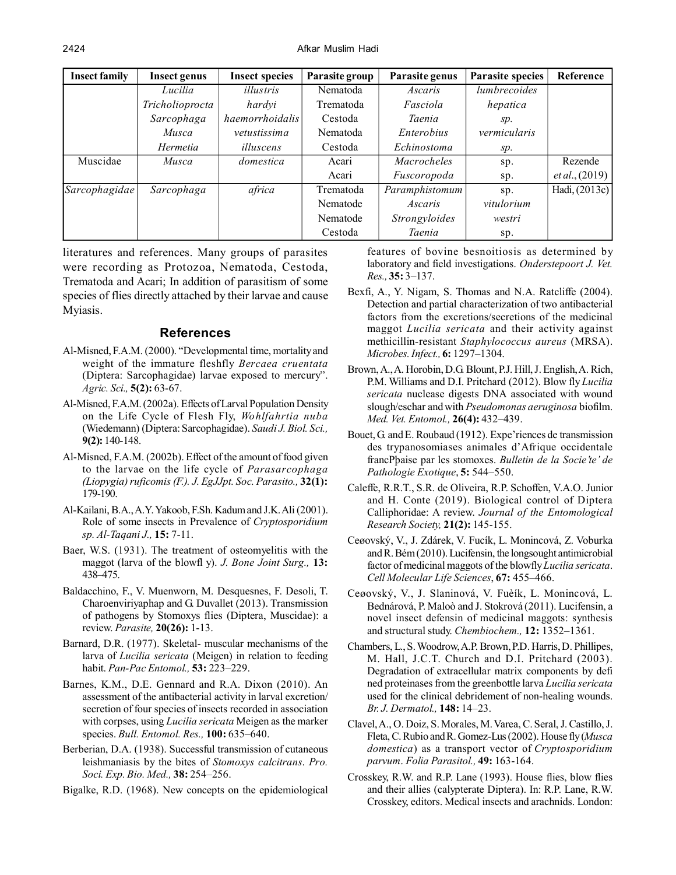| <b>Insect family</b> | <b>Insect genus</b> | <b>Insect species</b> | Parasite group | Parasite genus     | <b>Parasite species</b> | Reference                |
|----------------------|---------------------|-----------------------|----------------|--------------------|-------------------------|--------------------------|
|                      | Lucilia             | illustris             | Nematoda       | Ascaris            | lumbrecoides            |                          |
|                      | Tricholioprocta     | hardyi                | Trematoda      | Fasciola           | hepatica                |                          |
|                      | Sarcophaga          | haemorrhoidalis       | Cestoda        | Taenia             | SD.                     |                          |
|                      | Musca               | vetustissima          | Nematoda       | Enterobius         | vermicularis            |                          |
|                      | Hermetia            | illuscens             | Cestoda        | Echinostoma        | sp.                     |                          |
| Muscidae             | Musca               | domestica             | Acari          | <i>Macrocheles</i> | sp.                     | Rezende                  |
|                      |                     |                       | Acari          | Fuscoropoda        | sp.                     | <i>et al.</i> , $(2019)$ |
| Sarcophagidae        | Sarcophaga          | africa                | Trematoda      | Paramphistomum     | sp.                     | Hadi, (2013c)            |
|                      |                     |                       | Nematode       | Ascaris            | vitulorium              |                          |
|                      |                     |                       | Nematode       | Strongyloides      | westri                  |                          |
|                      |                     |                       | Cestoda        | <b>Taenia</b>      | sp.                     |                          |

literatures and references. Many groups of parasites were recording as Protozoa, Nematoda, Cestoda, Trematoda and Acari; In addition of parasitism of some species of flies directly attached by their larvae and cause Myiasis.

### **References**

- Al-Misned, F.A.M. (2000). "Developmental time, mortality and weight of the immature fleshfly *Bercaea cruentata* (Diptera: Sarcophagidae) larvae exposed to mercury". *Agric. Sci.,* **5(2):** 63-67.
- Al-Misned, F.A.M. (2002a). Effects of Larval Population Density on the Life Cycle of Flesh Fly, *Wohlfahrtia nuba* (Wiedemann) (Diptera: Sarcophagidae). *Saudi J. Biol. Sci.,* **9(2):** 140-148.
- Al-Misned, F.A.M. (2002b). Effect of the amount of food given to the larvae on the life cycle of *Parasarcophaga (Liopygia) ruficomis (F.). J. EgJJpt. Soc. Parasito.,* **32(1):** 179-190.
- Al-Kailani, B.A., A.Y. Yakoob, F.Sh. Kadum and J.K. Ali (2001). Role of some insects in Prevalence of *Cryptosporidium sp. Al-Taqani J.,* **15:** 7-11.
- Baer, W.S. (1931). The treatment of osteomyelitis with the maggot (larva of the blowfl y). *J. Bone Joint Surg.,* **13:** 438–475.
- Baldacchino, F., V. Muenworn, M. Desquesnes, F. Desoli, T. Charoenviriyaphap and G. Duvallet (2013). Transmission of pathogens by Stomoxys flies (Diptera, Muscidae): a review. *Parasite,* **20(26):** 1-13.
- Barnard, D.R. (1977). Skeletal- muscular mechanisms of the larva of *Lucilia sericata* (Meigen) in relation to feeding habit. *Pan-Pac Entomol.,* **53:** 223–229.
- Barnes, K.M., D.E. Gennard and R.A. Dixon (2010). An assessment of the antibacterial activity in larval excretion/ secretion of four species of insects recorded in association with corpses, using *Lucilia sericata* Meigen as the marker species. *Bull. Entomol. Res.,* **100:** 635–640.
- Berberian, D.A. (1938). Successful transmission of cutaneous leishmaniasis by the bites of *Stomoxys calcitrans*. *Pro. Soci. Exp. Bio. Med.,* **38:** 254–256.
- Bigalke, R.D. (1968). New concepts on the epidemiological

features of bovine besnoitiosis as determined by laboratory and field investigations. *Onderstepoort J. Vet. Res.,* **35:** 3–137.

- Bexfi, A., Y. Nigam, S. Thomas and N.A. Ratcliffe (2004). Detection and partial characterization of two antibacterial factors from the excretions/secretions of the medicinal maggot *Lucilia sericata* and their activity against methicillin-resistant *Staphylococcus aureus* (MRSA). *Microbes. Infect.,* **6:** 1297–1304.
- Brown, A., A. Horobin, D.G. Blount, P.J. Hill, J. English, A. Rich, P.M. Williams and D.I. Pritchard (2012). Blow fly *Lucilia sericata* nuclease digests DNA associated with wound slough/eschar and with *Pseudomonas aeruginosa* biofilm. *Med. Vet. Entomol.,* **26(4):** 432–439.
- Bouet, G. and E. Roubaud (1912). Expe'riences de transmission des trypanosomiases animales d'Afrique occidentale francPþaise par les stomoxes. *Bulletin de la Socie'te' de Pathologie Exotique*, **5:** 544–550.
- Caleffe, R.R.T., S.R. de Oliveira, R.P. Schoffen, V.A.O. Junior and H. Conte (2019). Biological control of Diptera Calliphoridae: A review. *Journal of the Entomological Research Society,* **21(2):** 145-155.
- Ceøovský, V., J. Zdárek, V. Fucík, L. Monincová, Z. Voburka and R. Bém (2010). Lucifensin, the longsought antimicrobial factor of medicinal maggots of the blowfly *Lucilia sericata*. *Cell Molecular Life Sciences*, **67:** 455–466.
- Ceøovský, V., J. Slaninová, V. Fuèík, L. Monincová, L. Bednárová, P. Maloò and J. Stokrová (2011). Lucifensin, a novel insect defensin of medicinal maggots: synthesis and structural study. *Chembiochem.,* **12:** 1352–1361.
- Chambers, L., S. Woodrow, A.P. Brown, P.D. Harris, D. Phillipes, M. Hall, J.C.T. Church and D.I. Pritchard (2003). Degradation of extracellular matrix components by defi ned proteinases from the greenbottle larva *Lucilia sericata* used for the clinical debridement of non-healing wounds. *Br. J. Dermatol.,* **148:** 14–23.
- Clavel, A., O. Doiz, S. Morales, M. Varea, C. Seral, J. Castillo, J. Fleta, C. Rubio and R. Gomez-Lus (2002). House fly (*Musca domestica*) as a transport vector of *Cryptosporidium parvum*. *Folia Parasitol.,* **49:** 163-164.
- Crosskey, R.W. and R.P. Lane (1993). House flies, blow flies and their allies (calypterate Diptera). In: R.P. Lane, R.W. Crosskey, editors. Medical insects and arachnids. London: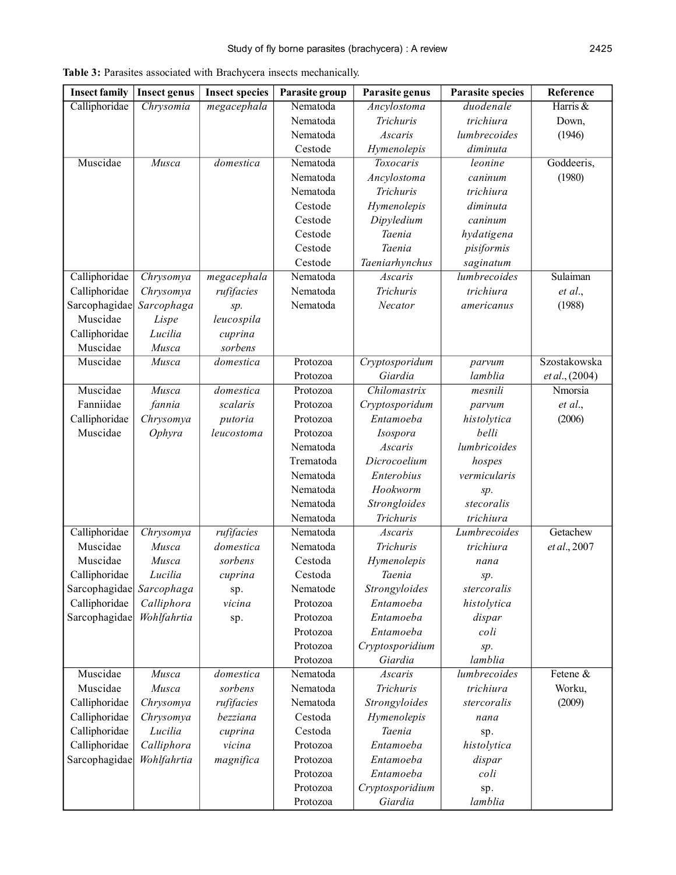| <b>Insect family</b> | <b>Insect genus</b> | <b>Insect species</b> | Parasite group | Parasite genus   | <b>Parasite species</b> | Reference      |
|----------------------|---------------------|-----------------------|----------------|------------------|-------------------------|----------------|
| Calliphoridae        | Chrysomia           | megacephala           | Nematoda       | Ancylostoma      | duodenale               | Harris &       |
|                      |                     |                       | Nematoda       | <b>Trichuris</b> | trichiura               | Down,          |
|                      |                     |                       | Nematoda       | Ascaris          | lumbrecoides            | (1946)         |
|                      |                     |                       | Cestode        | Hymenolepis      | diminuta                |                |
| Muscidae             | Musca               | domestica             | Nematoda       | Toxocaris        | leonine                 | Goddeeris,     |
|                      |                     |                       | Nematoda       | Ancylostoma      | caninum                 | (1980)         |
|                      |                     |                       | Nematoda       | Trichuris        | trichiura               |                |
|                      |                     |                       | Cestode        | Hymenolepis      | diminuta                |                |
|                      |                     |                       | Cestode        | Dipyledium       | caninum                 |                |
|                      |                     |                       | Cestode        | Taenia           | hydatigena              |                |
|                      |                     |                       | Cestode        | Taenia           | pisiformis              |                |
|                      |                     |                       | Cestode        | Taeniarhynchus   | saginatum               |                |
| Calliphoridae        | Chrysomya           | megacephala           | Nematoda       | Ascaris          | lumbrecoides            | Sulaiman       |
| Calliphoridae        | Chrysomya           | rufifacies            | Nematoda       | <b>Trichuris</b> | trichiura               | et al.,        |
| Sarcophagidae        | Sarcophaga          | sp.                   | Nematoda       | Necator          | americanus              | (1988)         |
| Muscidae             | Lispe               | leucospila            |                |                  |                         |                |
| Calliphoridae        | Lucilia             | cuprina               |                |                  |                         |                |
| Muscidae             | Musca               | sorbens               |                |                  |                         |                |
| Muscidae             | Musca               | domestica             | Protozoa       | Cryptosporidum   | parvum                  | Szostakowska   |
|                      |                     |                       | Protozoa       | Giardia          | lamblia                 | et al., (2004) |
| Muscidae             | Musca               | domestica             | Protozoa       | Chilomastrix     | mesnili                 | Nmorsia        |
| Fanniidae            | fannia              | scalaris              | Protozoa       | Cryptosporidum   | parvum                  | et al.,        |
| Calliphoridae        | Chrysomya           | putoria               | Protozoa       | Entamoeba        | histolytica             | (2006)         |
| Muscidae             | Ophyra              | leucostoma            | Protozoa       | Isospora         | belli                   |                |
|                      |                     |                       | Nematoda       | Ascaris          | lumbricoides            |                |
|                      |                     |                       | Trematoda      | Dicrocoelium     | hospes                  |                |
|                      |                     |                       | Nematoda       | Enterobius       | vermicularis            |                |
|                      |                     |                       | Nematoda       | Hookworm         | sp.                     |                |
|                      |                     |                       | Nematoda       | Strongloides     | stecoralis              |                |
|                      |                     |                       | Nematoda       | <b>Trichuris</b> | trichiura               |                |
| Calliphoridae        | Chrysomya           | rufifacies            | Nematoda       | Ascaris          | Lumbrecoides            | Getachew       |
| Muscidae             | Musca               | domestica             | Nematoda       | Trichuris        | trichiura               | et al., 2007   |
| Muscidae             | Musca               | sorbens               | Cestoda        | Hymenolepis      | nana                    |                |
| Calliphoridae        | Lucilia             | cuprina               | Cestoda        | Taenia           | sp.                     |                |
| Sarcophagidae        | Sarcophaga          | sp.                   | Nematode       | Strongyloides    | stercoralis             |                |
| Calliphoridae        | Calliphora          | vicina                | Protozoa       | Entamoeba        | histolytica             |                |
| Sarcophagidae        | Wohlfahrtia         | sp.                   | Protozoa       | Entamoeba        | dispar                  |                |
|                      |                     |                       | Protozoa       | Entamoeba        | coli                    |                |
|                      |                     |                       | Protozoa       | Cryptosporidium  | sp.                     |                |
|                      |                     |                       | Protozoa       | Giardia          | lamblia                 |                |
| Muscidae             | Musca               | domestica             | Nematoda       | Ascaris          | lumbrecoides            | Fetene &       |
| Muscidae             | Musca               | sorbens               | Nematoda       | Trichuris        | trichiura               | Worku,         |
| Calliphoridae        | Chrysomya           | rufifacies            | Nematoda       | Strongyloides    | stercoralis             | (2009)         |
| Calliphoridae        | Chrysomya           | bezziana              | Cestoda        | Hymenolepis      | nana                    |                |
| Calliphoridae        | Lucilia             | cuprina               | Cestoda        | Taenia           | sp.                     |                |
| Calliphoridae        | Calliphora          | vicina                | Protozoa       | Entamoeba        | histolytica             |                |
| Sarcophagidae        | Wohlfahrtia         | magnifica             | Protozoa       | Entamoeba        | dispar                  |                |
|                      |                     |                       | Protozoa       | Entamoeba        | coli                    |                |
|                      |                     |                       | Protozoa       | Cryptosporidium  | sp.                     |                |
|                      |                     |                       | Protozoa       | Giardia          | lamblia                 |                |

**Table 3:** Parasites associated with Brachycera insects mechanically.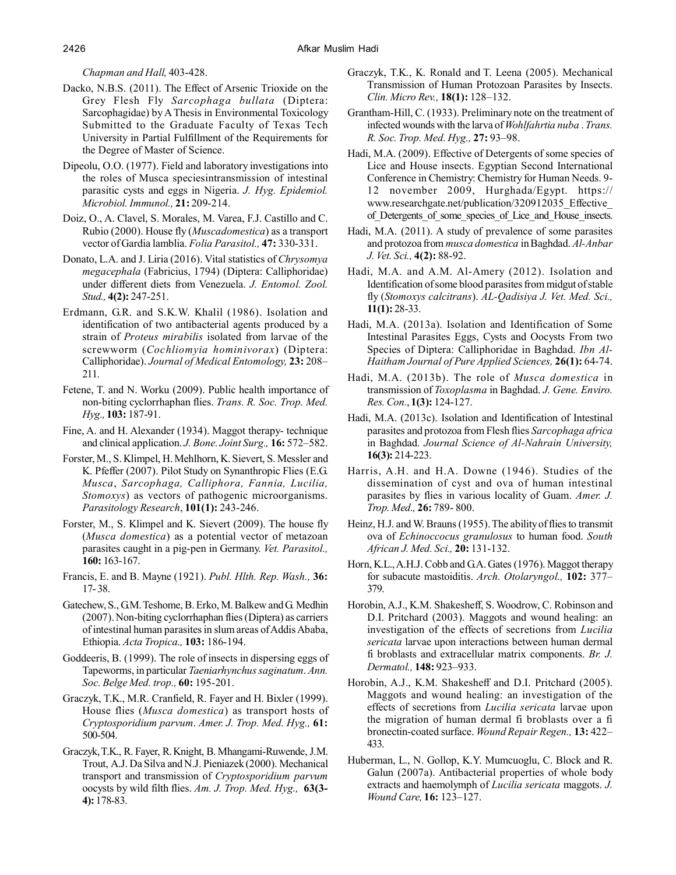*Chapman and Hall,* 403-428.

- Dacko, N.B.S. (2011). The Effect of Arsenic Trioxide on the Grey Flesh Fly *Sarcophaga bullata* (Diptera: Sarcophagidae) by A Thesis in Environmental Toxicology Submitted to the Graduate Faculty of Texas Tech University in Partial Fulfillment of the Requirements for the Degree of Master of Science.
- Dipeolu, O.O. (1977). Field and laboratory investigations into the roles of Musca speciesintransmission of intestinal parasitic cysts and eggs in Nigeria. *J. Hyg. Epidemiol. Microbiol. Immunol.,* **21:** 209-214.
- Doiz, O., A. Clavel, S. Morales, M. Varea, F.J. Castillo and C. Rubio (2000). House fly (*Muscadomestica*) as a transport vector of Gardia lamblia. *Folia Parasitol.,* **47:** 330-331.
- Donato, L.A. and J. Liria (2016). Vital statistics of *Chrysomya megacephala* (Fabricius, 1794) (Diptera: Calliphoridae) under different diets from Venezuela. *J. Entomol. Zool. Stud.,* **4(2):** 247-251.
- Erdmann, G.R. and S.K.W. Khalil (1986). Isolation and identification of two antibacterial agents produced by a strain of *Proteus mirabilis* isolated from larvae of the screwworm (*Cochliomyia hominivorax*) (Diptera: Calliphoridae). *Journal of Medical Entomology,* **23:** 208– 211.
- Fetene, T. and N. Worku (2009). Public health importance of non-biting cyclorrhaphan flies. *Trans. R. Soc. Trop. Med. Hyg.,* **103:** 187-91.
- Fine, A. and H. Alexander (1934). Maggot therapy- technique and clinical application. *J. Bone. Joint Surg.,* **16:** 572–582.
- Forster, M., S. Klimpel, H. Mehlhorn, K. Sievert, S. Messler and K. Pfeffer (2007). Pilot Study on Synanthropic Flies (E.G. *Musca*, *Sarcophaga, Calliphora, Fannia, Lucilia, Stomoxys*) as vectors of pathogenic microorganisms. *Parasitology Research*, **101(1):** 243-246.
- Forster, M., S. Klimpel and K. Sievert (2009). The house fly (*Musca domestica*) as a potential vector of metazoan parasites caught in a pig-pen in Germany. *Vet. Parasitol.,* **160:** 163-167.
- Francis, E. and B. Mayne (1921). *Publ. Hlth. Rep. Wash.,* **36:** 17- 38.
- Gatechew, S., G.M. Teshome, B. Erko, M. Balkew and G. Medhin (2007). Non-biting cyclorrhaphan flies (Diptera) as carriers of intestinal human parasites in slum areas of Addis Ababa, Ethiopia. *Acta Tropica.,* **103:** 186-194.
- Goddeeris, B. (1999). The role of insects in dispersing eggs of Tapeworms, in particular *Taeniarhynchus saginatum*. *Ann. Soc. Belge Med. trop.,* **60:** 195-201.
- Graczyk, T.K., M.R. Cranfield, R. Fayer and H. Bixler (1999). House flies (*Musca domestica*) as transport hosts of *Cryptosporidium parvum*. *Amer. J. Trop. Med. Hyg.,* **61:** 500-504.
- Graczyk, T.K., R. Fayer, R. Knight, B. Mhangami-Ruwende, J.M. Trout, A.J. Da Silva and N.J. Pieniazek (2000). Mechanical transport and transmission of *Cryptosporidium parvum* oocysts by wild filth flies. *Am. J. Trop. Med. Hyg.,* **63(3- 4):** 178-83.
- Graczyk, T.K., K. Ronald and T. Leena (2005). Mechanical Transmission of Human Protozoan Parasites by Insects. *Clin. Micro Rev.,* **18(1):** 128–132.
- Grantham-Hill, C. (1933). Preliminary note on the treatment of infected wounds with the larva of *Wohlfahrtia nuba* . *Trans. R. Soc. Trop. Med. Hyg.,* **27:** 93–98.
- Hadi, M.A. (2009). Effective of Detergents of some species of Lice and House insects. Egyptian Second International Conference in Chemistry: Chemistry for Human Needs. 9- 12 november 2009, Hurghada/Egypt. https:// www.researchgate.net/publication/320912035\_Effective\_ of Detergents of some species of Lice and House insects.
- Hadi, M.A. (2011). A study of prevalence of some parasites and protozoa from *musca domestica* in Baghdad. *Al-Anbar J. Vet. Sci.,* **4(2):** 88-92.
- Hadi, M.A. and A.M. Al-Amery (2012). Isolation and Identification of some blood parasites from midgut of stable fly (*Stomoxys calcitrans*). *AL-Qadisiya J. Vet. Med. Sci.,* **11(1):** 28-33.
- Hadi, M.A. (2013a). Isolation and Identification of Some Intestinal Parasites Eggs, Cysts and Oocysts From two Species of Diptera: Calliphoridae in Baghdad. *Ibn Al-Haitham Journal of Pure Applied Sciences,* **26(1):** 64-74.
- Hadi, M.A. (2013b). The role of *Musca domestica* in transmission of *Toxoplasma* in Baghdad. *J. Gene. Enviro. Res. Con.*, **1(3):** 124-127.
- Hadi, M.A. (2013c). Isolation and Identification of Intestinal parasites and protozoa from Flesh flies *Sarcophaga africa* in Baghdad. *Journal Science of Al-Nahrain University,* **16(3):** 214-223.
- Harris, A.H. and H.A. Downe (1946). Studies of the dissemination of cyst and ova of human intestinal parasites by flies in various locality of Guam. *Amer. J. Trop. Med.,* **26:** 789- 800.
- Heinz, H.J. and W. Brauns (1955). The ability of flies to transmit ova of *Echinoccocus granulosus* to human food. *South African J. Med. Sci.,* **20:** 131-132.
- Horn, K.L., A.H.J. Cobb and G.A. Gates (1976). Maggot therapy for subacute mastoiditis. *Arch. Otolaryngol.,* **102:** 377– 379.
- Horobin, A.J., K.M. Shakesheff, S. Woodrow, C. Robinson and D.I. Pritchard (2003). Maggots and wound healing: an investigation of the effects of secretions from *Lucilia sericata* larvae upon interactions between human dermal fi broblasts and extracellular matrix components. *Br. J. Dermatol.,* **148:** 923–933.
- Horobin, A.J., K.M. Shakesheff and D.I. Pritchard (2005). Maggots and wound healing: an investigation of the effects of secretions from *Lucilia sericata* larvae upon the migration of human dermal fi broblasts over a fi bronectin-coated surface. *Wound Repair Regen.,* **13:** 422– 433.
- Huberman, L., N. Gollop, K.Y. Mumcuoglu, C. Block and R. Galun (2007a). Antibacterial properties of whole body extracts and haemolymph of *Lucilia sericata* maggots. *J. Wound Care,* **16:** 123–127.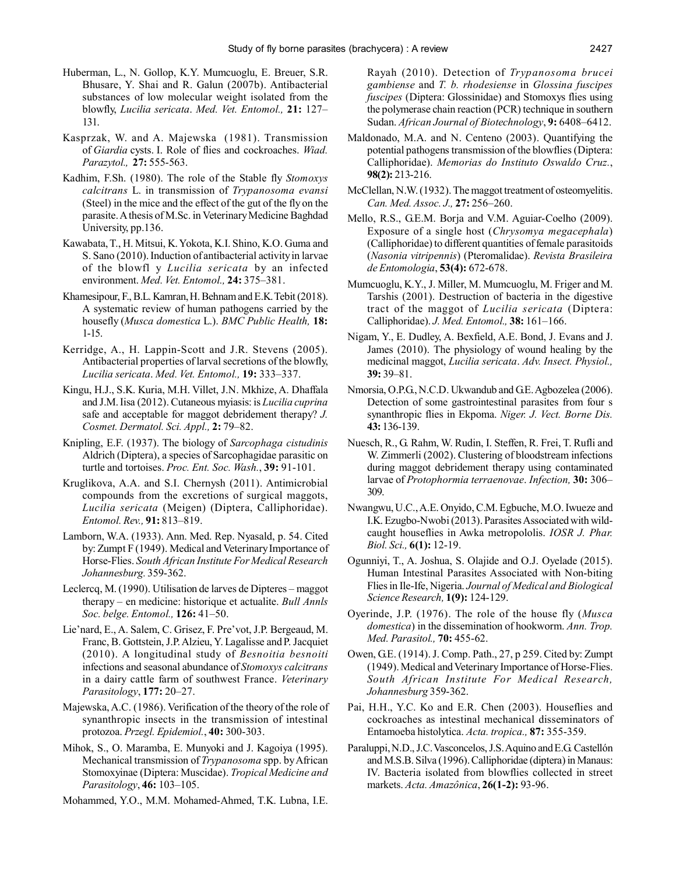- Huberman, L., N. Gollop, K.Y. Mumcuoglu, E. Breuer, S.R. Bhusare, Y. Shai and R. Galun (2007b). Antibacterial substances of low molecular weight isolated from the blowfly, *Lucilia sericata*. *Med. Vet. Entomol.,* **21:** 127– 131.
- Kasprzak, W. and A. Majewska (1981). Transmission of *Giardia* cysts. I. Role of flies and cockroaches. *Wiad. Parazytol.,* **27:** 555-563.
- Kadhim, F.Sh. (1980). The role of the Stable fly *Stomoxys calcitrans* L. in transmission of *Trypanosoma evansi* (Steel) in the mice and the effect of the gut of the fly on the parasite. A thesis of M.Sc. in Veterinary Medicine Baghdad University, pp.136.
- Kawabata, T., H. Mitsui, K. Yokota, K.I. Shino, K.O. Guma and S. Sano (2010). Induction of antibacterial activity in larvae of the blowfl y *Lucilia sericata* by an infected environment. *Med. Vet. Entomol.,* **24:** 375–381.
- Khamesipour, F., B.L. Kamran, H. Behnam and E.K. Tebit (2018). A systematic review of human pathogens carried by the housefly (*Musca domestica* L.). *BMC Public Health,* **18:** 1-15.
- Kerridge, A., H. Lappin-Scott and J.R. Stevens (2005). Antibacterial properties of larval secretions of the blowfly, *Lucilia sericata*. *Med. Vet. Entomol.,* **19:** 333–337.
- Kingu, H.J., S.K. Kuria, M.H. Villet, J.N. Mkhize, A. Dhaffala and J.M. Iisa (2012). Cutaneous myiasis: is *Lucilia cuprina* safe and acceptable for maggot debridement therapy? *J. Cosmet. Dermatol. Sci. Appl.,* **2:** 79–82.
- Knipling, E.F. (1937). The biology of *Sarcophaga cistudinis* Aldrich (Diptera), a species of Sarcophagidae parasitic on turtle and tortoises. *Proc. Ent. Soc. Wash.*, **39:** 91-101.
- Kruglikova, A.A. and S.I. Chernysh (2011). Antimicrobial compounds from the excretions of surgical maggots, *Lucilia sericata* (Meigen) (Diptera, Calliphoridae). *Entomol. Rev.,* **91:** 813–819.
- Lamborn, W.A. (1933). Ann. Med. Rep. Nyasald, p. 54. Cited by: Zumpt F (1949). Medical and Veterinary Importance of Horse-Flies. *South African Institute For Medical Research Johannesburg.* 359-362.
- Leclercq, M. (1990). Utilisation de larves de Dipteres maggot therapy – en medicine: historique et actualite. *Bull Annls Soc. belge. Entomol.,* **126:** 41–50.
- Lie'nard, E., A. Salem, C. Grisez, F. Pre'vot, J.P. Bergeaud, M. Franc, B. Gottstein, J.P. Alzieu, Y. Lagalisse and P. Jacquiet (2010). A longitudinal study of *Besnoitia besnoiti* infections and seasonal abundance of *Stomoxys calcitrans* in a dairy cattle farm of southwest France. *Veterinary Parasitology*, **177:** 20–27.
- Majewska, A.C. (1986). Verification of the theory of the role of synanthropic insects in the transmission of intestinal protozoa. *Przegl. Epidemiol.*, **40:** 300-303.
- Mihok, S., O. Maramba, E. Munyoki and J. Kagoiya (1995). Mechanical transmission of *Trypanosoma* spp. by African Stomoxyinae (Diptera: Muscidae). *Tropical Medicine and Parasitology*, **46:** 103–105.
- Mohammed, Y.O., M.M. Mohamed-Ahmed, T.K. Lubna, I.E.

Rayah (2010). Detection of *Trypanosoma brucei gambiense* and *T. b. rhodesiense* in *Glossina fuscipes fuscipes* (Diptera: Glossinidae) and Stomoxys flies using the polymerase chain reaction (PCR) technique in southern Sudan. *African Journal of Biotechnology*, **9:** 6408–6412.

- Maldonado, M.A. and N. Centeno (2003). Quantifying the potential pathogens transmission of the blowflies (Diptera: Calliphoridae). *Memorias do Instituto Oswaldo Cruz.*, **98(2):** 213-216.
- McClellan, N.W. (1932). The maggot treatment of osteomyelitis. *Can. Med. Assoc. J.,* **27:** 256–260.
- Mello, R.S., G.E.M. Borja and V.M. Aguiar-Coelho (2009). Exposure of a single host (*Chrysomya megacephala*) (Calliphoridae) to different quantities of female parasitoids (*Nasonia vitripennis*) (Pteromalidae). *Revista Brasileira de Entomologia*, **53(4):** 672-678.
- Mumcuoglu, K.Y., J. Miller, M. Mumcuoglu, M. Friger and M. Tarshis (2001). Destruction of bacteria in the digestive tract of the maggot of *Lucilia sericata* (Diptera: Calliphoridae). *J. Med. Entomol.,* **38:** 161–166.
- Nigam, Y., E. Dudley, A. Bexfield, A.E. Bond, J. Evans and J. James (2010). The physiology of wound healing by the medicinal maggot, *Lucilia sericata*. *Adv. Insect. Physiol.,* **39:** 39–81.
- Nmorsia, O.P.G., N.C.D. Ukwandub and G.E. Agbozelea (2006). Detection of some gastrointestinal parasites from four s synanthropic flies in Ekpoma. *Niger. J. Vect. Borne Dis.* **43:** 136-139.
- Nuesch, R., G. Rahm, W. Rudin, I. Steffen, R. Frei, T. Rufli and W. Zimmerli (2002). Clustering of bloodstream infections during maggot debridement therapy using contaminated larvae of *Protophormia terraenovae*. *Infection,* **30:** 306– 309.
- Nwangwu, U.C., A.E. Onyido, C.M. Egbuche, M.O. Iwueze and I.K. Ezugbo-Nwobi (2013). Parasites Associated with wildcaught houseflies in Awka metropololis. *IOSR J. Phar. Biol. Sci.,* **6(1):** 12-19.
- Ogunniyi, T., A. Joshua, S. Olajide and O.J. Oyelade (2015). Human Intestinal Parasites Associated with Non-biting Flies in Ile-Ife, Nigeria. *Journal of Medical and Biological Science Research,* **1(9):** 124-129.
- Oyerinde, J.P. (1976). The role of the house fly (*Musca domestica*) in the dissemination of hookworm. *Ann. Trop. Med. Parasitol.,* **70:** 455-62.
- Owen, G.E. (1914). J. Comp. Path., 27, p 259. Cited by: Zumpt (1949). Medical and Veterinary Importance of Horse-Flies. *South African Institute For Medical Research, Johannesburg* 359-362.
- Pai, H.H., Y.C. Ko and E.R. Chen (2003). Houseflies and cockroaches as intestinal mechanical disseminators of Entamoeba histolytica. *Acta. tropica.,* **87:** 355-359.
- Paraluppi, N.D., J.C. Vasconcelos, J.S. Aquino and E.G. Castellón and M.S.B. Silva (1996). Calliphoridae (diptera) in Manaus: IV. Bacteria isolated from blowflies collected in street markets. *Acta. Amazônica*, **26(1-2):** 93-96.